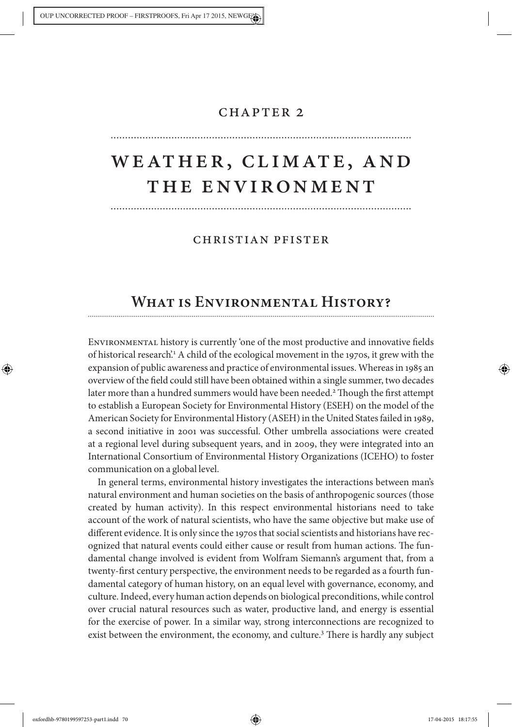# CHAPTER 2

# WEATHER, CLIMATE, AND the Environment

### Christian Pfister

# **What is Environmental History?**

Environmental history is currently 'one of the most productive and innovative fields of historical research<sup>2</sup>. A child of the ecological movement in the 1970s, it grew with the expansion of public awareness and practice of environmental issues. Whereas in 1985 an overview of the field could still have been obtained within a single summer, two decades later more than a hundred summers would have been needed.<sup>2</sup> Though the first attempt to establish a European Society for Environmental History (ESEH) on the model of the American Society for Environmental History (ASEH) in the United States failed in 1989, a second initiative in 2001 was successful. Other umbrella associations were created at a regional level during subsequent years, and in 2009, they were integrated into an International Consortium of Environmental History Organizations (ICEHO) to foster communication on a global level.

In general terms, environmental history investigates the interactions between man's natural environment and human societies on the basis of anthropogenic sources (those created by human activity). In this respect environmental historians need to take account of the work of natural scientists, who have the same objective but make use of different evidence. It is only since the 1970s that social scientists and historians have recognized that natural events could either cause or result from human actions. The fundamental change involved is evident from Wolfram Siemann's argument that, from a twenty-first century perspective, the environment needs to be regarded as a fourth fundamental category of human history, on an equal level with governance, economy, and culture. Indeed, every human action depends on biological preconditions, while control over crucial natural resources such as water, productive land, and energy is essential for the exercise of power. In a similar way, strong interconnections are recognized to exist between the environment, the economy, and culture.<sup>3</sup> There is hardly any subject

oxfordhb-9780199597253-part1.indd 70 17-04-2015 18:17:55

⊕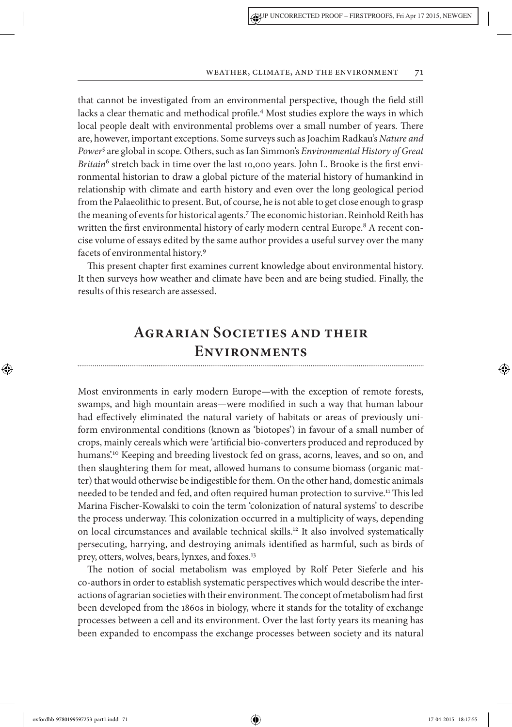that cannot be investigated from an environmental perspective, though the field still lacks a clear thematic and methodical profile.4 Most studies explore the ways in which local people dealt with environmental problems over a small number of years. There are, however, important exceptions. Some surveys such as Joachim Radkau's *Nature and Power*<sup>5</sup> are global in scope. Others, such as Ian Simmon's *Environmental History of Great*  Britain<sup>6</sup> stretch back in time over the last 10,000 years. John L. Brooke is the first environmental historian to draw a global picture of the material history of humankind in relationship with climate and earth history and even over the long geological period from the Palaeolithic to present. But, of course, he is not able to get close enough to grasp the meaning of events for historical agents.7 The economic historian. Reinhold Reith has written the first environmental history of early modern central Europe.<sup>8</sup> A recent concise volume of essays edited by the same author provides a useful survey over the many facets of environmental history.<sup>9</sup>

This present chapter first examines current knowledge about environmental history. It then surveys how weather and climate have been and are being studied. Finally, the results of this research are assessed.

# **Agrarian Societies and their Environments**

Most environments in early modern Europe—with the exception of remote forests, swamps, and high mountain areas—were modified in such a way that human labour had effectively eliminated the natural variety of habitats or areas of previously uniform environmental conditions (known as 'biotopes') in favour of a small number of crops, mainly cereals which were 'artificial bio-converters produced and reproduced by humans.<sup>10</sup> Keeping and breeding livestock fed on grass, acorns, leaves, and so on, and then slaughtering them for meat, allowed humans to consume biomass (organic matter) that would otherwise be indigestible for them. On the other hand, domestic animals needed to be tended and fed, and often required human protection to survive.<sup>11</sup> This led Marina Fischer-Kowalski to coin the term 'colonization of natural systems' to describe the process underway. This colonization occurred in a multiplicity of ways, depending on local circumstances and available technical skills.12 It also involved systematically persecuting, harrying, and destroying animals identified as harmful, such as birds of prey, otters, wolves, bears, lynxes, and foxes.<sup>13</sup>

The notion of social metabolism was employed by Rolf Peter Sieferle and his co-authors in order to establish systematic perspectives which would describe the interactions of agrarian societies with their environment. The concept of metabolism had first been developed from the 1860s in biology, where it stands for the totality of exchange processes between a cell and its environment. Over the last forty years its meaning has been expanded to encompass the exchange processes between society and its natural

⊕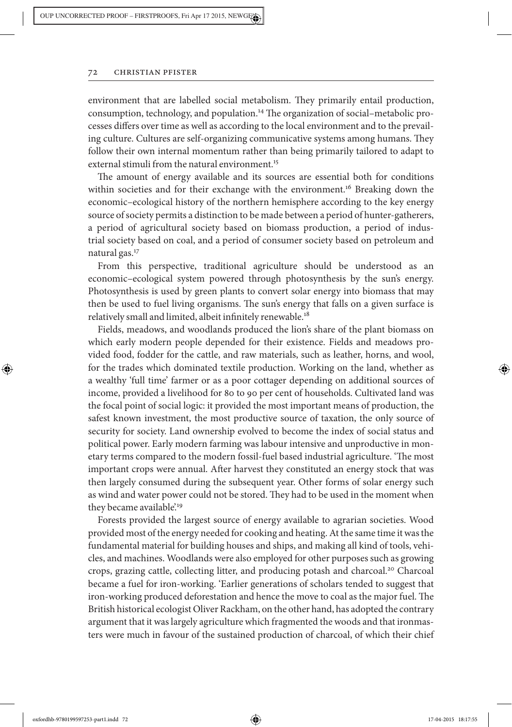environment that are labelled social metabolism. They primarily entail production, consumption, technology, and population.14 The organization of social–metabolic processes differs over time as well as according to the local environment and to the prevailing culture. Cultures are self-organizing communicative systems among humans. They follow their own internal momentum rather than being primarily tailored to adapt to external stimuli from the natural environment.<sup>15</sup>

The amount of energy available and its sources are essential both for conditions within societies and for their exchange with the environment.<sup>16</sup> Breaking down the economic–ecological history of the northern hemisphere according to the key energy source of society permits a distinction to be made between a period of hunter-gatherers, a period of agricultural society based on biomass production, a period of industrial society based on coal, and a period of consumer society based on petroleum and natural gas.<sup>17</sup>

From this perspective, traditional agriculture should be understood as an economic–ecological system powered through photosynthesis by the sun's energy. Photosynthesis is used by green plants to convert solar energy into biomass that may then be used to fuel living organisms. The sun's energy that falls on a given surface is relatively small and limited, albeit infinitely renewable.<sup>18</sup>

Fields, meadows, and woodlands produced the lion's share of the plant biomass on which early modern people depended for their existence. Fields and meadows provided food, fodder for the cattle, and raw materials, such as leather, horns, and wool, for the trades which dominated textile production. Working on the land, whether as a wealthy 'full time' farmer or as a poor cottager depending on additional sources of income, provided a livelihood for 80 to 90 per cent of households. Cultivated land was the focal point of social logic: it provided the most important means of production, the safest known investment, the most productive source of taxation, the only source of security for society. Land ownership evolved to become the index of social status and political power. Early modern farming was labour intensive and unproductive in monetary terms compared to the modern fossil-fuel based industrial agriculture. 'The most important crops were annual. After harvest they constituted an energy stock that was then largely consumed during the subsequent year. Other forms of solar energy such as wind and water power could not be stored. They had to be used in the moment when they became available.<sup>19</sup>

Forests provided the largest source of energy available to agrarian societies. Wood provided most of the energy needed for cooking and heating. At the same time it was the fundamental material for building houses and ships, and making all kind of tools, vehicles, and machines. Woodlands were also employed for other purposes such as growing crops, grazing cattle, collecting litter, and producing potash and charcoal.<sup>20</sup> Charcoal became a fuel for iron-working. 'Earlier generations of scholars tended to suggest that iron-working produced deforestation and hence the move to coal as the major fuel. The British historical ecologist Oliver Rackham, on the other hand, has adopted the contrary argument that it was largely agriculture which fragmented the woods and that ironmasters were much in favour of the sustained production of charcoal, of which their chief

oxfordhb-9780199597253-part1.indd 72 17-04-2015 18:17:55

⊕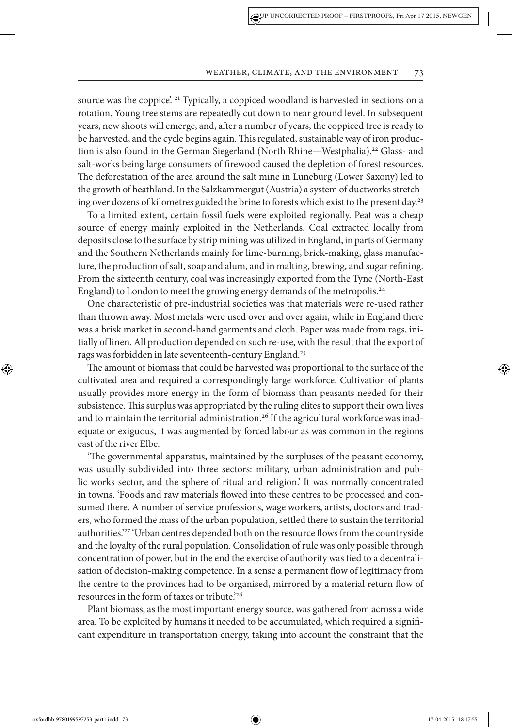source was the coppice.<sup>21</sup> Typically, a coppiced woodland is harvested in sections on a rotation. Young tree stems are repeatedly cut down to near ground level. In subsequent years, new shoots will emerge, and, after a number of years, the coppiced tree is ready to be harvested, and the cycle begins again. This regulated, sustainable way of iron production is also found in the German Siegerland (North Rhine—Westphalia).<sup>22</sup> Glass- and salt-works being large consumers of firewood caused the depletion of forest resources. The deforestation of the area around the salt mine in Lüneburg (Lower Saxony) led to the growth of heathland. In the Salzkammergut (Austria) a system of ductworks stretching over dozens of kilometres guided the brine to forests which exist to the present day.23

To a limited extent, certain fossil fuels were exploited regionally. Peat was a cheap source of energy mainly exploited in the Netherlands. Coal extracted locally from deposits close to the surface by strip mining was utilized in England, in parts of Germany and the Southern Netherlands mainly for lime-burning, brick-making, glass manufacture, the production of salt, soap and alum, and in malting, brewing, and sugar refining. From the sixteenth century, coal was increasingly exported from the Tyne (North-East England) to London to meet the growing energy demands of the metropolis.<sup>24</sup>

One characteristic of pre-industrial societies was that materials were re-used rather than thrown away. Most metals were used over and over again, while in England there was a brisk market in second-hand garments and cloth. Paper was made from rags, initially of linen. All production depended on such re-use, with the result that the export of rags was forbidden in late seventeenth-century England.<sup>25</sup>

The amount of biomass that could be harvested was proportional to the surface of the cultivated area and required a correspondingly large workforce. Cultivation of plants usually provides more energy in the form of biomass than peasants needed for their subsistence. This surplus was appropriated by the ruling elites to support their own lives and to maintain the territorial administration.<sup>26</sup> If the agricultural workforce was inadequate or exiguous, it was augmented by forced labour as was common in the regions east of the river Elbe.

'The governmental apparatus, maintained by the surpluses of the peasant economy, was usually subdivided into three sectors: military, urban administration and public works sector, and the sphere of ritual and religion.' It was normally concentrated in towns. 'Foods and raw materials flowed into these centres to be processed and consumed there. A number of service professions, wage workers, artists, doctors and traders, who formed the mass of the urban population, settled there to sustain the territorial authorities.'27 'Urban centres depended both on the resource flows from the countryside and the loyalty of the rural population. Consolidation of rule was only possible through concentration of power, but in the end the exercise of authority was tied to a decentralisation of decision-making competence. In a sense a permanent flow of legitimacy from the centre to the provinces had to be organised, mirrored by a material return flow of resources in the form of taxes or tribute.'<sup>28</sup>

Plant biomass, as the most important energy source, was gathered from across a wide area. To be exploited by humans it needed to be accumulated, which required a significant expenditure in transportation energy, taking into account the constraint that the

⊕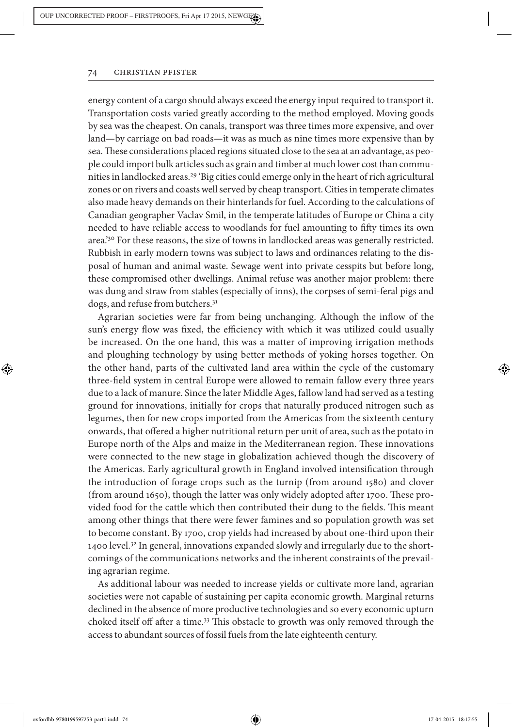energy content of a cargo should always exceed the energy input required to transport it. Transportation costs varied greatly according to the method employed. Moving goods by sea was the cheapest. On canals, transport was three times more expensive, and over land—by carriage on bad roads—it was as much as nine times more expensive than by sea. These considerations placed regions situated close to the sea at an advantage, as people could import bulk articles such as grain and timber at much lower cost than communities in landlocked areas.29 'Big cities could emerge only in the heart of rich agricultural zones or on rivers and coasts well served by cheap transport. Cities in temperate climates also made heavy demands on their hinterlands for fuel. According to the calculations of Canadian geographer Vaclav Smil, in the temperate latitudes of Europe or China a city needed to have reliable access to woodlands for fuel amounting to fifty times its own area.'30 For these reasons, the size of towns in landlocked areas was generally restricted. Rubbish in early modern towns was subject to laws and ordinances relating to the disposal of human and animal waste. Sewage went into private cesspits but before long, these compromised other dwellings. Animal refuse was another major problem: there was dung and straw from stables (especially of inns), the corpses of semi-feral pigs and dogs, and refuse from butchers.<sup>31</sup>

Agrarian societies were far from being unchanging. Although the inflow of the sun's energy flow was fixed, the efficiency with which it was utilized could usually be increased. On the one hand, this was a matter of improving irrigation methods and ploughing technology by using better methods of yoking horses together. On the other hand, parts of the cultivated land area within the cycle of the customary three-field system in central Europe were allowed to remain fallow every three years due to a lack of manure. Since the later Middle Ages, fallow land had served as a testing ground for innovations, initially for crops that naturally produced nitrogen such as legumes, then for new crops imported from the Americas from the sixteenth century onwards, that offered a higher nutritional return per unit of area, such as the potato in Europe north of the Alps and maize in the Mediterranean region. These innovations were connected to the new stage in globalization achieved though the discovery of the Americas. Early agricultural growth in England involved intensification through the introduction of forage crops such as the turnip (from around 1580) and clover (from around 1650), though the latter was only widely adopted after 1700. These provided food for the cattle which then contributed their dung to the fields. This meant among other things that there were fewer famines and so population growth was set to become constant. By 1700, crop yields had increased by about one-third upon their 1400 level.<sup>32</sup> In general, innovations expanded slowly and irregularly due to the shortcomings of the communications networks and the inherent constraints of the prevailing agrarian regime.

As additional labour was needed to increase yields or cultivate more land, agrarian societies were not capable of sustaining per capita economic growth. Marginal returns declined in the absence of more productive technologies and so every economic upturn choked itself off after a time.33 This obstacle to growth was only removed through the access to abundant sources of fossil fuels from the late eighteenth century.

⊕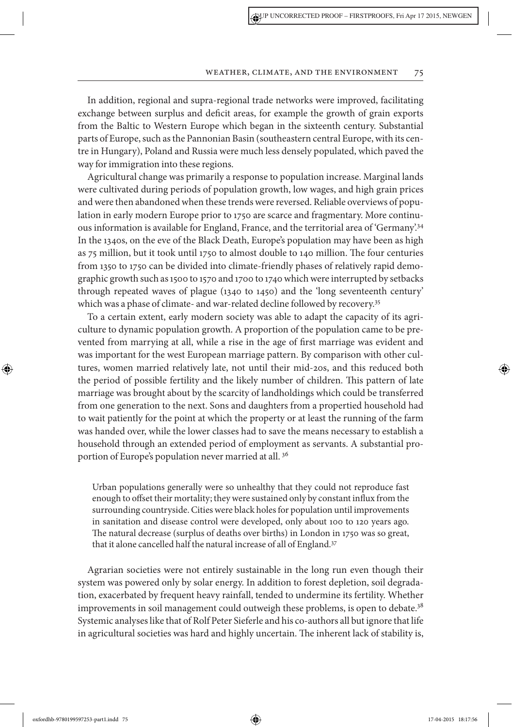In addition, regional and supra-regional trade networks were improved, facilitating exchange between surplus and deficit areas, for example the growth of grain exports from the Baltic to Western Europe which began in the sixteenth century. Substantial parts of Europe, such as the Pannonian Basin (southeastern central Europe, with its centre in Hungary), Poland and Russia were much less densely populated, which paved the way for immigration into these regions.

Agricultural change was primarily a response to population increase. Marginal lands were cultivated during periods of population growth, low wages, and high grain prices and were then abandoned when these trends were reversed. Reliable overviews of population in early modern Europe prior to 1750 are scarce and fragmentary. More continuous information is available for England, France, and the territorial area of 'Germany'.<sup>34</sup> In the 1340s, on the eve of the Black Death, Europe's population may have been as high as 75 million, but it took until 1750 to almost double to 140 million. The four centuries from 1350 to 1750 can be divided into climate-friendly phases of relatively rapid demographic growth such as 1500 to 1570 and 1700 to 1740 which were interrupted by setbacks through repeated waves of plague (1340 to 1450) and the 'long seventeenth century' which was a phase of climate- and war-related decline followed by recovery.<sup>35</sup>

To a certain extent, early modern society was able to adapt the capacity of its agriculture to dynamic population growth. A proportion of the population came to be prevented from marrying at all, while a rise in the age of first marriage was evident and was important for the west European marriage pattern. By comparison with other cultures, women married relatively late, not until their mid-20s, and this reduced both the period of possible fertility and the likely number of children. This pattern of late marriage was brought about by the scarcity of landholdings which could be transferred from one generation to the next. Sons and daughters from a propertied household had to wait patiently for the point at which the property or at least the running of the farm was handed over, while the lower classes had to save the means necessary to establish a household through an extended period of employment as servants. A substantial proportion of Europe's population never married at all. 36

Urban populations generally were so unhealthy that they could not reproduce fast enough to offset their mortality; they were sustained only by constant influx from the surrounding countryside. Cities were black holes for population until improvements in sanitation and disease control were developed, only about 100 to 120 years ago. The natural decrease (surplus of deaths over births) in London in 1750 was so great, that it alone cancelled half the natural increase of all of England.<sup>37</sup>

Agrarian societies were not entirely sustainable in the long run even though their system was powered only by solar energy. In addition to forest depletion, soil degradation, exacerbated by frequent heavy rainfall, tended to undermine its fertility. Whether improvements in soil management could outweigh these problems, is open to debate.<sup>38</sup> Systemic analyses like that of Rolf Peter Sieferle and his co-authors all but ignore that life in agricultural societies was hard and highly uncertain. The inherent lack of stability is,

⊕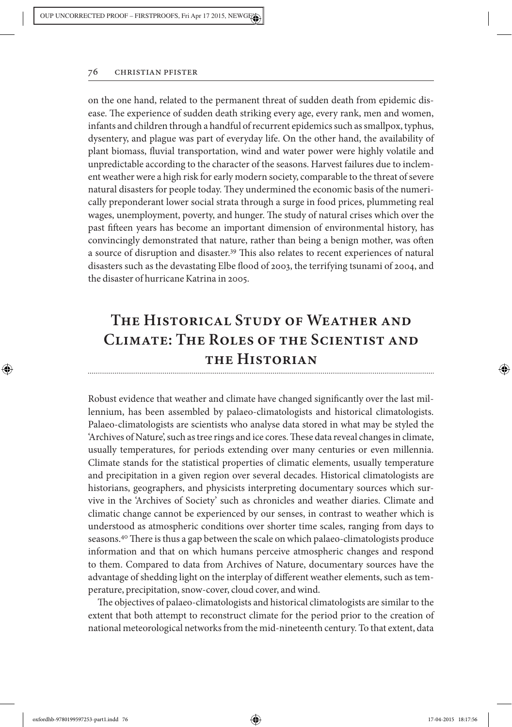on the one hand, related to the permanent threat of sudden death from epidemic disease. The experience of sudden death striking every age, every rank, men and women, infants and children through a handful of recurrent epidemics such as smallpox, typhus, dysentery, and plague was part of everyday life. On the other hand, the availability of plant biomass, fluvial transportation, wind and water power were highly volatile and unpredictable according to the character of the seasons. Harvest failures due to inclement weather were a high risk for early modern society, comparable to the threat of severe natural disasters for people today. They undermined the economic basis of the numerically preponderant lower social strata through a surge in food prices, plummeting real wages, unemployment, poverty, and hunger. The study of natural crises which over the past fifteen years has become an important dimension of environmental history, has convincingly demonstrated that nature, rather than being a benign mother, was often a source of disruption and disaster.<sup>39</sup> This also relates to recent experiences of natural disasters such as the devastating Elbe flood of 2003, the terrifying tsunami of 2004, and the disaster of hurricane Katrina in 2005.

# **The Historical Study of Weather and Climate: The Roles of the Scientist and the Historian**

Robust evidence that weather and climate have changed significantly over the last millennium, has been assembled by palaeo-climatologists and historical climatologists. Palaeo-climatologists are scientists who analyse data stored in what may be styled the 'Archives of Nature', such as tree rings and ice cores. These data reveal changes in climate, usually temperatures, for periods extending over many centuries or even millennia. Climate stands for the statistical properties of climatic elements, usually temperature and precipitation in a given region over several decades. Historical climatologists are historians, geographers, and physicists interpreting documentary sources which survive in the 'Archives of Society' such as chronicles and weather diaries. Climate and climatic change cannot be experienced by our senses, in contrast to weather which is understood as atmospheric conditions over shorter time scales, ranging from days to seasons.40 There is thus a gap between the scale on which palaeo-climatologists produce information and that on which humans perceive atmospheric changes and respond to them. Compared to data from Archives of Nature, documentary sources have the advantage of shedding light on the interplay of different weather elements, such as temperature, precipitation, snow-cover, cloud cover, and wind.

The objectives of palaeo-climatologists and historical climatologists are similar to the extent that both attempt to reconstruct climate for the period prior to the creation of national meteorological networks from the mid-nineteenth century. To that extent, data

oxfordhb-9780199597253-part1.indd 76 17-04-2015 18:17:56

⊕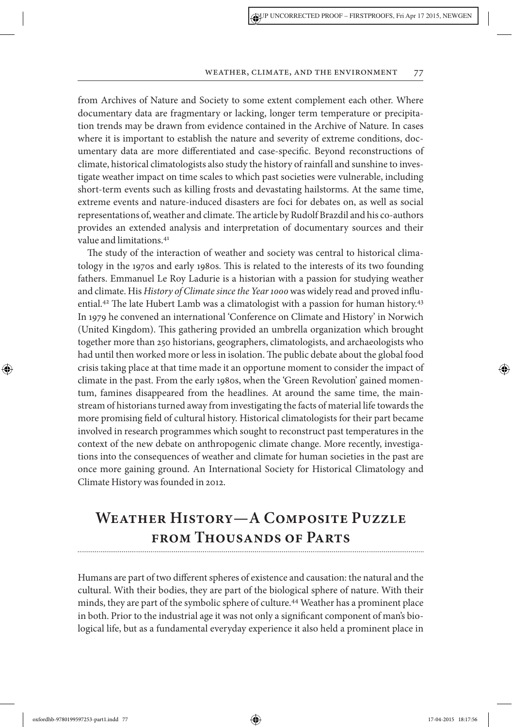from Archives of Nature and Society to some extent complement each other. Where documentary data are fragmentary or lacking, longer term temperature or precipitation trends may be drawn from evidence contained in the Archive of Nature. In cases where it is important to establish the nature and severity of extreme conditions, documentary data are more differentiated and case-specific. Beyond reconstructions of climate, historical climatologists also study the history of rainfall and sunshine to investigate weather impact on time scales to which past societies were vulnerable, including short-term events such as killing frosts and devastating hailstorms. At the same time, extreme events and nature-induced disasters are foci for debates on, as well as social representations of, weather and climate. The article by Rudolf Brazdil and his co-authors provides an extended analysis and interpretation of documentary sources and their value and limitations.<sup>41</sup>

The study of the interaction of weather and society was central to historical climatology in the 1970s and early 1980s. This is related to the interests of its two founding fathers. Emmanuel Le Roy Ladurie is a historian with a passion for studying weather and climate. His *History of Climate since the Year 1000* was widely read and proved influential.42 The late Hubert Lamb was a climatologist with a passion for human history.43 In 1979 he convened an international 'Conference on Climate and History' in Norwich (United Kingdom). This gathering provided an umbrella organization which brought together more than 250 historians, geographers, climatologists, and archaeologists who had until then worked more or less in isolation. The public debate about the global food crisis taking place at that time made it an opportune moment to consider the impact of climate in the past. From the early 1980s, when the 'Green Revolution' gained momentum, famines disappeared from the headlines. At around the same time, the mainstream of historians turned away from investigating the facts of material life towards the more promising field of cultural history. Historical climatologists for their part became involved in research programmes which sought to reconstruct past temperatures in the context of the new debate on anthropogenic climate change. More recently, investigations into the consequences of weather and climate for human societies in the past are once more gaining ground. An International Society for Historical Climatology and Climate History was founded in 2012.

# **Weather History—A Composite Puzzle from Thousands of Parts**

Humans are part of two different spheres of existence and causation: the natural and the cultural. With their bodies, they are part of the biological sphere of nature. With their minds, they are part of the symbolic sphere of culture.44 Weather has a prominent place in both. Prior to the industrial age it was not only a significant component of man's biological life, but as a fundamental everyday experience it also held a prominent place in

⊕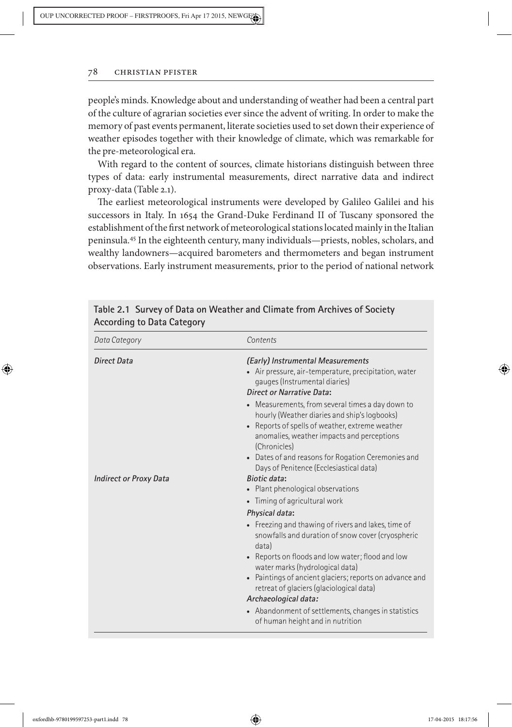people's minds. Knowledge about and understanding of weather had been a central part of the culture of agrarian societies ever since the advent of writing. In order to make the memory of past events permanent, literate societies used to set down their experience of weather episodes together with their knowledge of climate, which was remarkable for the pre-meteorological era.

With regard to the content of sources, climate historians distinguish between three types of data: early instrumental measurements, direct narrative data and indirect proxy-data (Table 2.1).

The earliest meteorological instruments were developed by Galileo Galilei and his successors in Italy. In 1654 the Grand-Duke Ferdinand II of Tuscany sponsored the establishment of the first network of meteorological stations located mainly in the Italian peninsula.45 In the eighteenth century, many individuals—priests, nobles, scholars, and wealthy landowners—acquired barometers and thermometers and began instrument observations. Early instrument measurements, prior to the period of national network

| Data Category                 | Contents                                                                                                                                                                                                        |
|-------------------------------|-----------------------------------------------------------------------------------------------------------------------------------------------------------------------------------------------------------------|
| <b>Direct Data</b>            | (Early) Instrumental Measurements<br>• Air pressure, air-temperature, precipitation, water<br>gauges (Instrumental diaries)<br>Direct or Narrative Data:                                                        |
|                               | • Measurements, from several times a day down to<br>hourly (Weather diaries and ship's logbooks)<br>Reports of spells of weather, extreme weather<br>anomalies, weather impacts and perceptions<br>(Chronicles) |
|                               | • Dates of and reasons for Rogation Ceremonies and<br>Days of Penitence (Ecclesiastical data)<br>Biotic data:                                                                                                   |
| <b>Indirect or Proxy Data</b> | • Plant phenological observations<br>• Timing of agricultural work                                                                                                                                              |
|                               | Physical data:                                                                                                                                                                                                  |
|                               | • Freezing and thawing of rivers and lakes, time of<br>snowfalls and duration of snow cover (cryospheric<br>data)<br>• Reports on floods and low water; flood and low                                           |
|                               | water marks (hydrological data)<br>• Paintings of ancient glaciers; reports on advance and<br>retreat of glaciers (glaciological data)<br>Archaeological data:                                                  |
|                               | • Abandonment of settlements, changes in statistics<br>of human height and in nutrition                                                                                                                         |

**Table 2.1 Survey of Data on Weather and Climate from Archives of Society According to Data Category**

⊕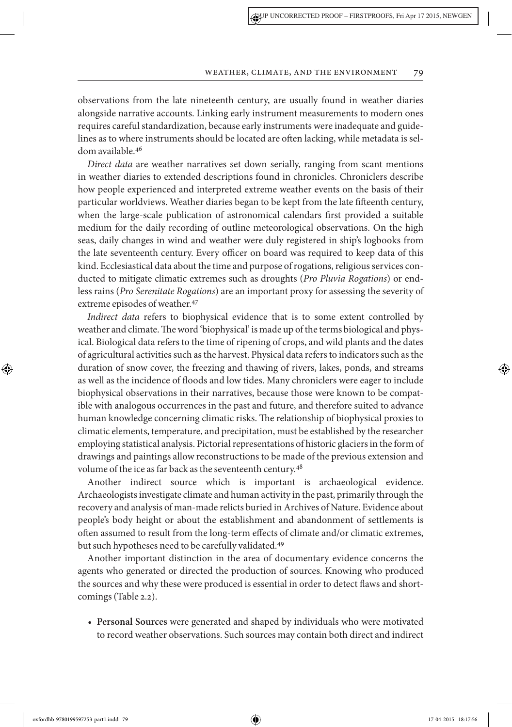observations from the late nineteenth century, are usually found in weather diaries alongside narrative accounts. Linking early instrument measurements to modern ones requires careful standardization, because early instruments were inadequate and guidelines as to where instruments should be located are often lacking, while metadata is seldom available.<sup>46</sup>

*Direct data* are weather narratives set down serially, ranging from scant mentions in weather diaries to extended descriptions found in chronicles. Chroniclers describe how people experienced and interpreted extreme weather events on the basis of their particular worldviews. Weather diaries began to be kept from the late fifteenth century, when the large-scale publication of astronomical calendars first provided a suitable medium for the daily recording of outline meteorological observations. On the high seas, daily changes in wind and weather were duly registered in ship's logbooks from the late seventeenth century. Every officer on board was required to keep data of this kind. Ecclesiastical data about the time and purpose of rogations, religious services conducted to mitigate climatic extremes such as droughts (*Pro Pluvia Rogations*) or endless rains (*Pro Serenitate Rogations*) are an important proxy for assessing the severity of extreme episodes of weather.<sup>47</sup>

*Indirect data* refers to biophysical evidence that is to some extent controlled by weather and climate. The word 'biophysical' is made up of the terms biological and physical. Biological data refers to the time of ripening of crops, and wild plants and the dates of agricultural activities such as the harvest. Physical data refers to indicators such as the duration of snow cover, the freezing and thawing of rivers, lakes, ponds, and streams as well as the incidence of floods and low tides. Many chroniclers were eager to include biophysical observations in their narratives, because those were known to be compatible with analogous occurrences in the past and future, and therefore suited to advance human knowledge concerning climatic risks. The relationship of biophysical proxies to climatic elements, temperature, and precipitation, must be established by the researcher employing statistical analysis. Pictorial representations of historic glaciers in the form of drawings and paintings allow reconstructions to be made of the previous extension and volume of the ice as far back as the seventeenth century.<sup>48</sup>

Another indirect source which is important is archaeological evidence. Archaeologists investigate climate and human activity in the past, primarily through the recovery and analysis of man-made relicts buried in Archives of Nature. Evidence about people's body height or about the establishment and abandonment of settlements is often assumed to result from the long-term effects of climate and/or climatic extremes, but such hypotheses need to be carefully validated.<sup>49</sup>

Another important distinction in the area of documentary evidence concerns the agents who generated or directed the production of sources. Knowing who produced the sources and why these were produced is essential in order to detect flaws and shortcomings (Table 2.2).

 • **Personal Sources** were generated and shaped by individuals who were motivated to record weather observations. Such sources may contain both direct and indirect

⊕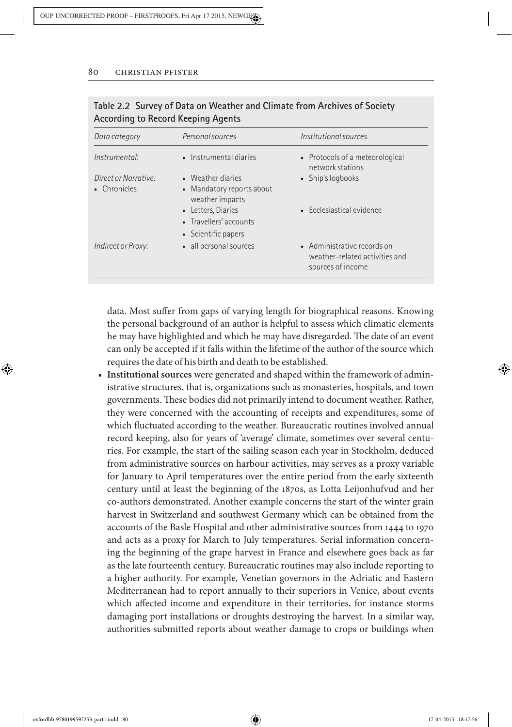## **Table 2.2 Survey of Data on Weather and Climate from Archives of Society According to Record Keeping Agents**

| Data category                        | Personal sources                                                    | Institutional sources                                                              |
|--------------------------------------|---------------------------------------------------------------------|------------------------------------------------------------------------------------|
| Instrumental:                        | • Instrumental diaries                                              | • Protocols of a meteorological<br>network stations                                |
| Direct or Narrative:<br>• Chronicles | • Weather diaries<br>• Mandatory reports about<br>weather impacts   | • Ship's logbooks                                                                  |
|                                      | • Letters, Diaries<br>• Travellers' accounts<br>• Scientific papers | • Ecclesiastical evidence                                                          |
| Indirect or Proxy:                   | • all personal sources                                              | • Administrative records on<br>weather-related activities and<br>sources of income |

data. Most suffer from gaps of varying length for biographical reasons. Knowing the personal background of an author is helpful to assess which climatic elements he may have highlighted and which he may have disregarded. The date of an event can only be accepted if it falls within the lifetime of the author of the source which requires the date of his birth and death to be established.

Institutional sources were generated and shaped within the framework of administrative structures, that is, organizations such as monasteries, hospitals, and town governments. These bodies did not primarily intend to document weather. Rather, they were concerned with the accounting of receipts and expenditures, some of which fluctuated according to the weather. Bureaucratic routines involved annual record keeping, also for years of 'average' climate, sometimes over several centuries. For example, the start of the sailing season each year in Stockholm, deduced from administrative sources on harbour activities, may serves as a proxy variable for January to April temperatures over the entire period from the early sixteenth century until at least the beginning of the 1870s, as Lotta Leijonhufvud and her co-authors demonstrated. Another example concerns the start of the winter grain harvest in Switzerland and southwest Germany which can be obtained from the accounts of the Basle Hospital and other administrative sources from 1444 to 1970 and acts as a proxy for March to July temperatures. Serial information concerning the beginning of the grape harvest in France and elsewhere goes back as far as the late fourteenth century. Bureaucratic routines may also include reporting to a higher authority. For example, Venetian governors in the Adriatic and Eastern Mediterranean had to report annually to their superiors in Venice, about events which affected income and expenditure in their territories, for instance storms damaging port installations or droughts destroying the harvest. In a similar way, authorities submitted reports about weather damage to crops or buildings when

⊕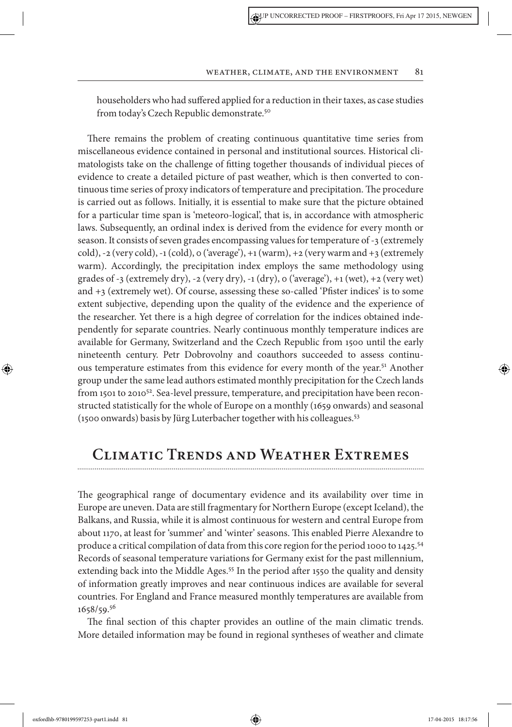householders who had suffered applied for a reduction in their taxes, as case studies from today's Czech Republic demonstrate.<sup>50</sup>

There remains the problem of creating continuous quantitative time series from miscellaneous evidence contained in personal and institutional sources. Historical climatologists take on the challenge of fitting together thousands of individual pieces of evidence to create a detailed picture of past weather, which is then converted to continuous time series of proxy indicators of temperature and precipitation. The procedure is carried out as follows. Initially, it is essential to make sure that the picture obtained for a particular time span is 'meteoro-logical', that is, in accordance with atmospheric laws. Subsequently, an ordinal index is derived from the evidence for every month or season. It consists of seven grades encompassing values for temperature of -3 (extremely cold), -2 (very cold), -1 (cold), o ('average'), +1 (warm), +2 (very warm and +3 (extremely warm). Accordingly, the precipitation index employs the same methodology using grades of -3 (extremely dry), -2 (very dry), -1 (dry),  $o$  ('average'), +1 (wet), +2 (very wet) and +3 (extremely wet). Of course, assessing these so-called 'Pfister indices' is to some extent subjective, depending upon the quality of the evidence and the experience of the researcher. Yet there is a high degree of correlation for the indices obtained independently for separate countries. Nearly continuous monthly temperature indices are available for Germany, Switzerland and the Czech Republic from 1500 until the early nineteenth century. Petr Dobrovolny and coauthors succeeded to assess continuous temperature estimates from this evidence for every month of the year.<sup>51</sup> Another group under the same lead authors estimated monthly precipitation for the Czech lands from 1501 to 2010<sup>52</sup>. Sea-level pressure, temperature, and precipitation have been reconstructed statistically for the whole of Europe on a monthly (1659 onwards) and seasonal (1500 onwards) basis by Jürg Luterbacher together with his colleagues.<sup>53</sup>

# **Climatic Trends and Weather Extremes**

The geographical range of documentary evidence and its availability over time in Europe are uneven. Data are still fragmentary for Northern Europe (except Iceland), the Balkans, and Russia, while it is almost continuous for western and central Europe from about 1170, at least for 'summer' and 'winter' seasons. This enabled Pierre Alexandre to produce a critical compilation of data from this core region for the period 1000 to 1425.<sup>54</sup> Records of seasonal temperature variations for Germany exist for the past millennium, extending back into the Middle Ages.<sup>55</sup> In the period after 1550 the quality and density of information greatly improves and near continuous indices are available for several countries. For England and France measured monthly temperatures are available from 1658/59.56

The final section of this chapter provides an outline of the main climatic trends. More detailed information may be found in regional syntheses of weather and climate

⊕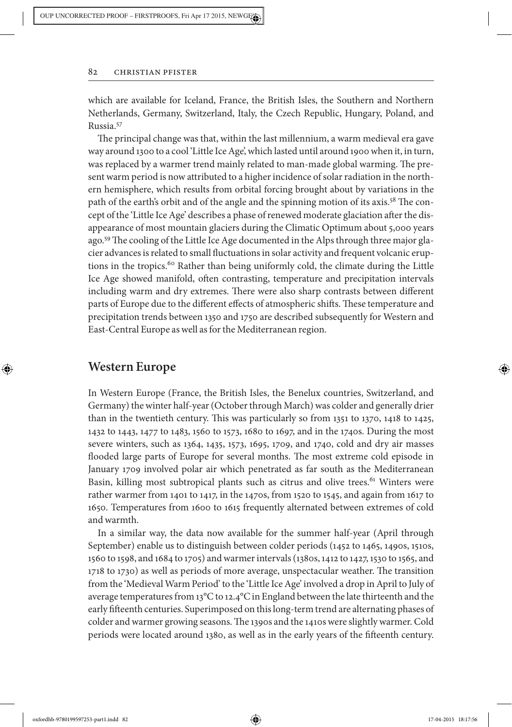which are available for Iceland, France, the British Isles, the Southern and Northern Netherlands, Germany, Switzerland, Italy, the Czech Republic, Hungary, Poland, and Russia.57

The principal change was that, within the last millennium, a warm medieval era gave way around 1300 to a cool 'Little Ice Age', which lasted until around 1900 when it, in turn, was replaced by a warmer trend mainly related to man-made global warming. The present warm period is now attributed to a higher incidence of solar radiation in the northern hemisphere, which results from orbital forcing brought about by variations in the path of the earth's orbit and of the angle and the spinning motion of its axis.<sup>58</sup> The concept of the 'Little Ice Age' describes a phase of renewed moderate glaciation after the disappearance of most mountain glaciers during the Climatic Optimum about 5,000 years ago.59 The cooling of the Little Ice Age documented in the Alps through three major glacier advances is related to small fluctuations in solar activity and frequent volcanic eruptions in the tropics.<sup>60</sup> Rather than being uniformly cold, the climate during the Little Ice Age showed manifold, often contrasting, temperature and precipitation intervals including warm and dry extremes. There were also sharp contrasts between different parts of Europe due to the different effects of atmospheric shifts. These temperature and precipitation trends between 1350 and 1750 are described subsequently for Western and East-Central Europe as well as for the Mediterranean region.

### **Western Europe**

⊕

In Western Europe (France, the British Isles, the Benelux countries, Switzerland, and Germany) the winter half-year (October through March) was colder and generally drier than in the twentieth century. This was particularly so from 1351 to 1370, 1418 to 1425, 1432 to 1443, 1477 to 1483, 1560 to 1573, 1680 to 1697, and in the 1740s. During the most severe winters, such as 1364, 1435, 1573, 1695, 1709, and 1740, cold and dry air masses flooded large parts of Europe for several months. The most extreme cold episode in January 1709 involved polar air which penetrated as far south as the Mediterranean Basin, killing most subtropical plants such as citrus and olive trees.<sup>61</sup> Winters were rather warmer from 1401 to 1417, in the 1470s, from 1520 to 1545, and again from 1617 to 1650. Temperatures from 1600 to 1615 frequently alternated between extremes of cold and warmth.

In a similar way, the data now available for the summer half-year (April through September) enable us to distinguish between colder periods (1452 to 1465, 1490s, 1510s, 1560 to 1598, and 1684 to 1705) and warmer intervals (1380s, 1412 to 1427, 1530 to 1565, and 1718 to 1730) as well as periods of more average, unspectacular weather. The transition from the 'Medieval Warm Period' to the 'Little Ice Age' involved a drop in April to July of average temperatures from 13°C to 12.4°C in England between the late thirteenth and the early fifteenth centuries. Superimposed on this long-term trend are alternating phases of colder and warmer growing seasons. The 1390s and the 1410s were slightly warmer. Cold periods were located around 1380, as well as in the early years of the fifteenth century.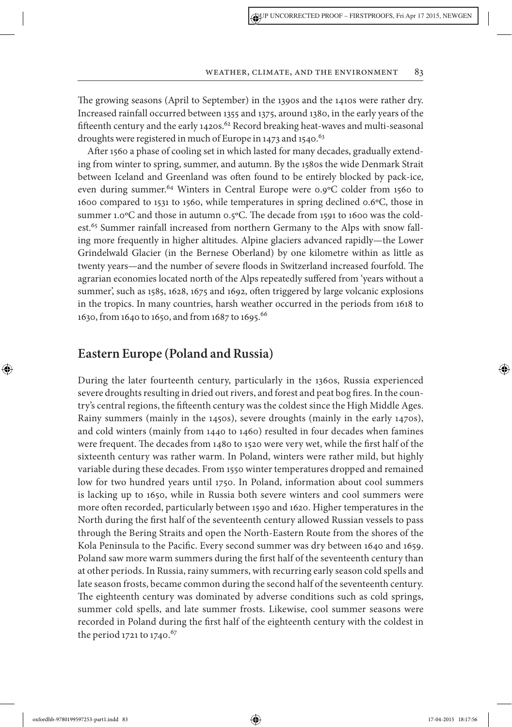The growing seasons (April to September) in the 1390s and the 1410s were rather dry. Increased rainfall occurred between 1355 and 1375, around 1380, in the early years of the fifteenth century and the early 1420s. $62$  Record breaking heat-waves and multi-seasonal droughts were registered in much of Europe in 1473 and 1540. $63$ 

After 1560 a phase of cooling set in which lasted for many decades, gradually extending from winter to spring, summer, and autumn. By the 1580s the wide Denmark Strait between Iceland and Greenland was often found to be entirely blocked by pack-ice, even during summer.64 Winters in Central Europe were 0.9ºC colder from 1560 to 1600 compared to 1531 to 1560, while temperatures in spring declined 0.6ºC, those in summer 1.0ºC and those in autumn 0.5ºC. The decade from 1591 to 1600 was the coldest.<sup>65</sup> Summer rainfall increased from northern Germany to the Alps with snow falling more frequently in higher altitudes. Alpine glaciers advanced rapidly—the Lower Grindelwald Glacier (in the Bernese Oberland) by one kilometre within as little as twenty years—and the number of severe floods in Switzerland increased fourfold. The agrarian economies located north of the Alps repeatedly suffered from 'years without a summer', such as 1585, 1628, 1675 and 1692, often triggered by large volcanic explosions in the tropics. In many countries, harsh weather occurred in the periods from 1618 to 1630, from 1640 to 1650, and from 1687 to 1695.<sup>66</sup>

# **Eastern Europe (Poland and Russia)**

During the later fourteenth century, particularly in the 1360s, Russia experienced severe droughts resulting in dried out rivers, and forest and peat bog fires. In the country's central regions, the fifteenth century was the coldest since the High Middle Ages. Rainy summers (mainly in the 1450s), severe droughts (mainly in the early 1470s), and cold winters (mainly from 1440 to 1460) resulted in four decades when famines were frequent. The decades from 1480 to 1520 were very wet, while the first half of the sixteenth century was rather warm. In Poland, winters were rather mild, but highly variable during these decades. From 1550 winter temperatures dropped and remained low for two hundred years until 1750. In Poland, information about cool summers is lacking up to 1650, while in Russia both severe winters and cool summers were more often recorded, particularly between 1590 and 1620. Higher temperatures in the North during the first half of the seventeenth century allowed Russian vessels to pass through the Bering Straits and open the North-Eastern Route from the shores of the Kola Peninsula to the Pacific. Every second summer was dry between 1640 and 1659. Poland saw more warm summers during the first half of the seventeenth century than at other periods. In Russia, rainy summers, with recurring early season cold spells and late season frosts, became common during the second half of the seventeenth century. The eighteenth century was dominated by adverse conditions such as cold springs, summer cold spells, and late summer frosts. Likewise, cool summer seasons were recorded in Poland during the first half of the eighteenth century with the coldest in the period 1721 to 1740.<sup>67</sup>

⊕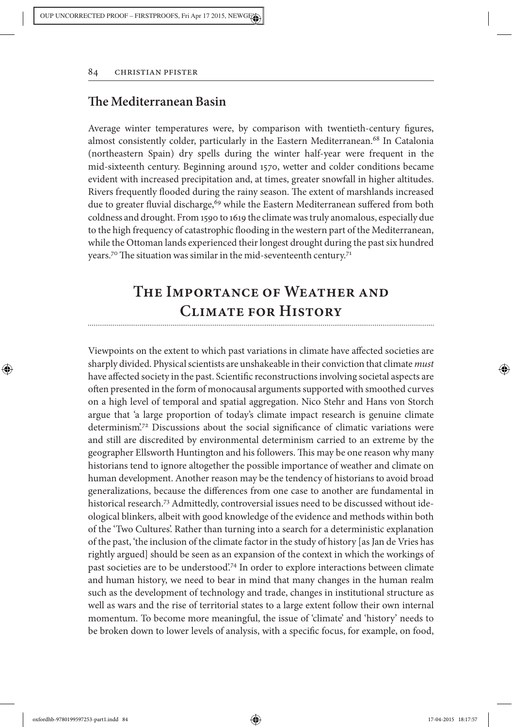## **The Mediterranean Basin**

Average winter temperatures were, by comparison with twentieth-century figures, almost consistently colder, particularly in the Eastern Mediterranean.<sup>68</sup> In Catalonia (northeastern Spain) dry spells during the winter half-year were frequent in the mid-sixteenth century. Beginning around 1570, wetter and colder conditions became evident with increased precipitation and, at times, greater snowfall in higher altitudes. Rivers frequently flooded during the rainy season. The extent of marshlands increased due to greater fluvial discharge,<sup>69</sup> while the Eastern Mediterranean suffered from both coldness and drought. From 1590 to 1619 the climate was truly anomalous, especially due to the high frequency of catastrophic flooding in the western part of the Mediterranean, while the Ottoman lands experienced their longest drought during the past six hundred years.<sup>70</sup> The situation was similar in the mid-seventeenth century.<sup>71</sup>

# **The Importance of Weather and Climate for History**

Viewpoints on the extent to which past variations in climate have affected societies are sharply divided. Physical scientists are unshakeable in their conviction that climate *must* have affected society in the past. Scientific reconstructions involving societal aspects are often presented in the form of monocausal arguments supported with smoothed curves on a high level of temporal and spatial aggregation. Nico Stehr and Hans von Storch argue that 'a large proportion of today's climate impact research is genuine climate determinism'.72 Discussions about the social significance of climatic variations were and still are discredited by environmental determinism carried to an extreme by the geographer Ellsworth Huntington and his followers. This may be one reason why many historians tend to ignore altogether the possible importance of weather and climate on human development. Another reason may be the tendency of historians to avoid broad generalizations, because the differences from one case to another are fundamental in historical research.73 Admittedly, controversial issues need to be discussed without ideological blinkers, albeit with good knowledge of the evidence and methods within both of the 'Two Cultures'. Rather than turning into a search for a deterministic explanation of the past, 'the inclusion of the climate factor in the study of history [as Jan de Vries has rightly argued] should be seen as an expansion of the context in which the workings of past societies are to be understood?<sup>74</sup> In order to explore interactions between climate and human history, we need to bear in mind that many changes in the human realm such as the development of technology and trade, changes in institutional structure as well as wars and the rise of territorial states to a large extent follow their own internal momentum. To become more meaningful, the issue of 'climate' and 'history' needs to be broken down to lower levels of analysis, with a specific focus, for example, on food,

⊕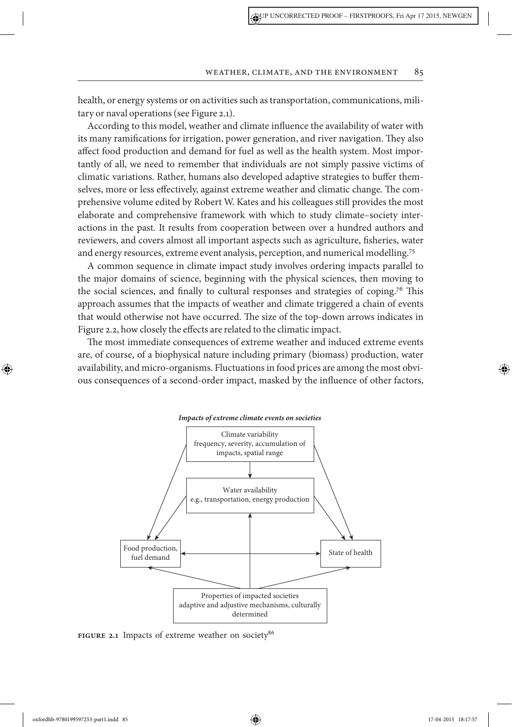health, or energy systems or on activities such as transportation, communications, military or naval operations (see Figure 2.1).

According to this model, weather and climate influence the availability of water with its many ramifications for irrigation, power generation, and river navigation. They also affect food production and demand for fuel as well as the health system. Most importantly of all, we need to remember that individuals are not simply passive victims of climatic variations. Rather, humans also developed adaptive strategies to buffer themselves, more or less effectively, against extreme weather and climatic change. The comprehensive volume edited by Robert W. Kates and his colleagues still provides the most elaborate and comprehensive framework with which to study climate–society interactions in the past. It results from cooperation between over a hundred authors and reviewers, and covers almost all important aspects such as agriculture, fisheries, water and energy resources, extreme event analysis, perception, and numerical modelling.<sup>75</sup>

A common sequence in climate impact study involves ordering impacts parallel to the major domains of science, beginning with the physical sciences, then moving to the social sciences, and finally to cultural responses and strategies of coping.76 This approach assumes that the impacts of weather and climate triggered a chain of events that would otherwise not have occurred. The size of the top-down arrows indicates in Figure 2.2, how closely the effects are related to the climatic impact.

The most immediate consequences of extreme weather and induced extreme events are, of course, of a biophysical nature including primary (biomass) production, water availability, and micro-organisms. Fluctuations in food prices are among the most obvious consequences of a second-order impact, masked by the influence of other factors,



FIGURE 2.1 Impacts of extreme weather on society<sup>86</sup>

⊕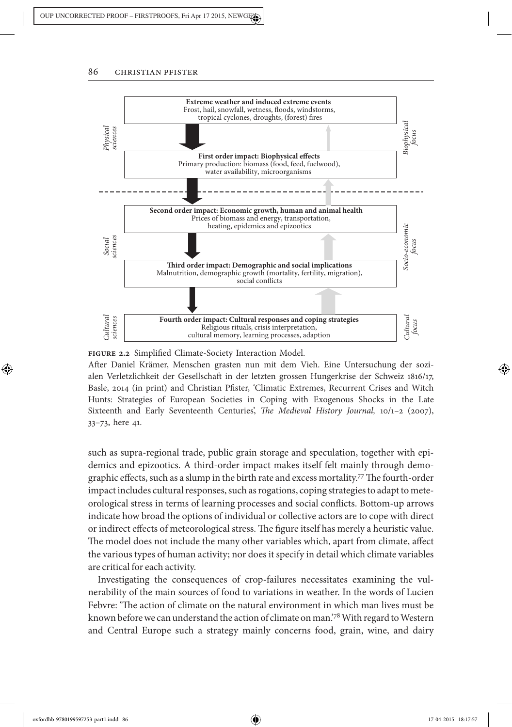

#### **Figure 2.2** Simplified Climate-Society Interaction Model.

After Daniel Krämer, Menschen grasten nun mit dem Vieh. Eine Untersuchung der sozialen Verletzlichkeit der Gesellschaft in der letzten grossen Hungerkrise der Schweiz 1816/17, Basle, 2014 (in print) and Christian Pfister, 'Climatic Extremes, Recurrent Crises and Witch Hunts: Strategies of European Societies in Coping with Exogenous Shocks in the Late Sixteenth and Early Seventeenth Centuries', *The Medieval History Journal,* 10/1–2 (2007), 33–73, here 41.

such as supra-regional trade, public grain storage and speculation, together with epidemics and epizootics. A third-order impact makes itself felt mainly through demographic effects, such as a slump in the birth rate and excess mortality.77 The fourth-order impact includes cultural responses, such as rogations, coping strategies to adapt to meteorological stress in terms of learning processes and social conflicts. Bottom-up arrows indicate how broad the options of individual or collective actors are to cope with direct or indirect effects of meteorological stress. The figure itself has merely a heuristic value. The model does not include the many other variables which, apart from climate, affect the various types of human activity; nor does it specify in detail which climate variables are critical for each activity.

Investigating the consequences of crop-failures necessitates examining the vulnerability of the main sources of food to variations in weather. In the words of Lucien Febvre: 'The action of climate on the natural environment in which man lives must be known before we can understand the action of climate on man.'78 With regard to Western and Central Europe such a strategy mainly concerns food, grain, wine, and dairy

⊕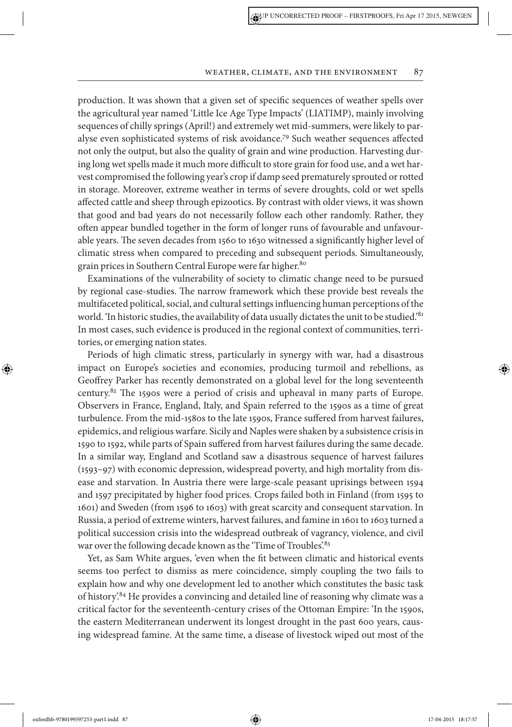production. It was shown that a given set of specific sequences of weather spells over the agricultural year named 'Little Ice Age Type Impacts' (LIATIMP), mainly involving sequences of chilly springs (April!) and extremely wet mid-summers, were likely to paralyse even sophisticated systems of risk avoidance.79 Such weather sequences affected not only the output, but also the quality of grain and wine production. Harvesting during long wet spells made it much more difficult to store grain for food use, and a wet harvest compromised the following year's crop if damp seed prematurely sprouted or rotted in storage. Moreover, extreme weather in terms of severe droughts, cold or wet spells affected cattle and sheep through epizootics. By contrast with older views, it was shown that good and bad years do not necessarily follow each other randomly. Rather, they often appear bundled together in the form of longer runs of favourable and unfavourable years. The seven decades from 1560 to 1630 witnessed a significantly higher level of climatic stress when compared to preceding and subsequent periods. Simultaneously, grain prices in Southern Central Europe were far higher.<sup>80</sup>

Examinations of the vulnerability of society to climatic change need to be pursued by regional case-studies. The narrow framework which these provide best reveals the multifaceted political, social, and cultural settings influencing human perceptions of the world. 'In historic studies, the availability of data usually dictates the unit to be studied.'<sup>81</sup> In most cases, such evidence is produced in the regional context of communities, territories, or emerging nation states.

Periods of high climatic stress, particularly in synergy with war, had a disastrous impact on Europe's societies and economies, producing turmoil and rebellions, as Geoffrey Parker has recently demonstrated on a global level for the long seventeenth century.82 The 1590s were a period of crisis and upheaval in many parts of Europe. Observers in France, England, Italy, and Spain referred to the 1590s as a time of great turbulence. From the mid-1580s to the late 1590s, France suffered from harvest failures, epidemics, and religious warfare. Sicily and Naples were shaken by a subsistence crisis in 1590 to 1592, while parts of Spain suffered from harvest failures during the same decade. In a similar way, England and Scotland saw a disastrous sequence of harvest failures (1593–97) with economic depression, widespread poverty, and high mortality from disease and starvation. In Austria there were large-scale peasant uprisings between 1594 and 1597 precipitated by higher food prices. Crops failed both in Finland (from 1595 to 1601) and Sweden (from 1596 to 1603) with great scarcity and consequent starvation. In Russia, a period of extreme winters, harvest failures, and famine in 1601 to 1603 turned a political succession crisis into the widespread outbreak of vagrancy, violence, and civil war over the following decade known as the 'Time of Troubles'.<sup>83</sup>

Yet, as Sam White argues, 'even when the fit between climatic and historical events seems too perfect to dismiss as mere coincidence, simply coupling the two fails to explain how and why one development led to another which constitutes the basic task of history'.84 He provides a convincing and detailed line of reasoning why climate was a critical factor for the seventeenth-century crises of the Ottoman Empire: 'In the 1590s, the eastern Mediterranean underwent its longest drought in the past 600 years, causing widespread famine. At the same time, a disease of livestock wiped out most of the

⊕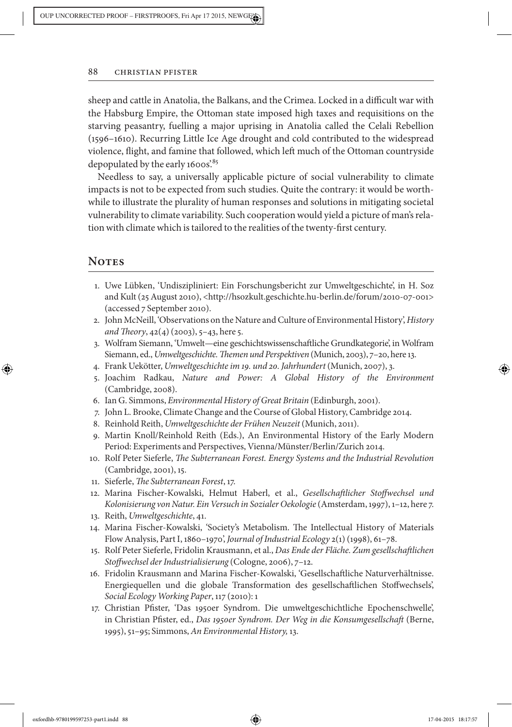sheep and cattle in Anatolia, the Balkans, and the Crimea. Locked in a difficult war with the Habsburg Empire, the Ottoman state imposed high taxes and requisitions on the starving peasantry, fuelling a major uprising in Anatolia called the Celali Rebellion (1596–1610). Recurring Little Ice Age drought and cold contributed to the widespread violence, flight, and famine that followed, which left much of the Ottoman countryside depopulated by the early 1600s<sup>'85</sup>

Needless to say, a universally applicable picture of social vulnerability to climate impacts is not to be expected from such studies. Quite the contrary: it would be worthwhile to illustrate the plurality of human responses and solutions in mitigating societal vulnerability to climate variability. Such cooperation would yield a picture of man's relation with climate which is tailored to the realities of the twenty-first century.

### **NOTES**

⊕

- 1. Uwe Lübken, 'Undiszipliniert: Ein Forschungsbericht zur Umweltgeschichte', in H. Soz and Kult (25 August 2010), <http://hsozkult.geschichte.hu-berlin.de/forum/2010-07-001> (accessed 7 September 2010).
- 2. John McNeill, 'Observations on the Nature and Culture of Environmental History', *History and Theory*, 42(4) (2003), 5–43, here 5.
- 3. Wolfram Siemann, 'Umwelt—eine geschichtswissenschaftliche Grundkategorie', in Wolfram Siemann, ed., *Umweltgeschichte. Themen und Perspektiven* (Munich, 2003), 7–20, here 13.
- 4. Frank Uekötter, *Umweltgeschichte im 19. und 20. Jahrhundert* (Munich, 2007), 3.
- 5. Joachim Radkau, *Nature and Power: A Global History of the Environment* (Cambridge, 2008).
- 6. Ian G. Simmons, *Environmental History of Great Britain* (Edinburgh, 2001).
- 7. John L. Brooke, Climate Change and the Course of Global History, Cambridge 2014.
- 8. Reinhold Reith, *Umweltgeschichte der Frühen Neuzeit* (Munich, 2011).
- 9. Martin Knoll/Reinhold Reith (Eds.), An Environmental History of the Early Modern Period: Experiments and Perspectives, Vienna/Münster/Berlin/Zurich 2014.
- 10. Rolf Peter Sieferle, *The Subterranean Forest. Energy Systems and the Industrial Revolution* (Cambridge, 2001), 15.
- 11. Sieferle, *The Subterranean Forest*, 17.
- 12. Marina Fischer-Kowalski, Helmut Haberl, et al., *Gesellschaftlicher Stoffwechsel und Kolonisierung von Natur. Ein Versuch in Sozialer Oekologie* (Amsterdam, 1997), 1–12, here 7.
- 13. Reith, *Umweltgeschichte*, 41.
- 14. Marina Fischer-Kowalski, 'Society's Metabolism. The Intellectual History of Materials Flow Analysis, Part I, 1860–1970', *Journal of Industrial Ecology* 2(1) (1998), 61–78.
- 15. Rolf Peter Sieferle, Fridolin Krausmann, et al., *Das Ende der Fläche. Zum gesellschaftlichen Stoffwechsel der Industrialisierung* (Cologne, 2006), 7–12.
- 16. Fridolin Krausmann and Marina Fischer-Kowalski, 'Gesellschaftliche Naturverhältnisse. Energiequellen und die globale Transformation des gesellschaftlichen Stoffwechsels', *Social Ecology Working Paper*, 117 (2010): 1
- 17. Christian Pfister, 'Das 1950er Syndrom. Die umweltgeschichtliche Epochenschwelle', in Christian Pfister, ed., *Das 1950er Syndrom. Der Weg in die Konsumgesellschaft* (Berne, 1995), 51–95; Simmons, *An Environmental History,* 13.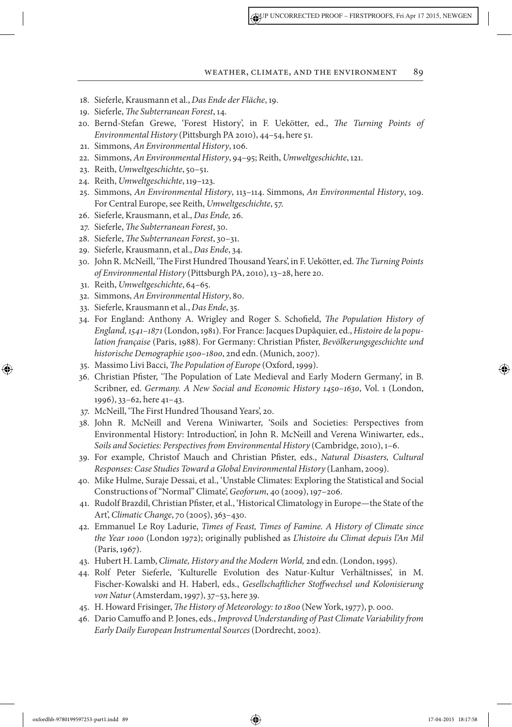- 18. Sieferle, Krausmann et al., *Das Ende der Fläche*, 19.
- 19. Sieferle, *The Subterranean Forest*, 14.
- 20. Bernd-Stefan Grewe, 'Forest History', in F. Uekötter, ed., *The Turning Points of Environmental History* (Pittsburgh PA 2010), 44–54, here 51.
- 21. Simmons, *An Environmental History*, 106.
- 22. Simmons, *An Environmental History*, 94–95; Reith, *Umweltgeschichte*, 121.
- 23. Reith, *Umweltgeschichte*, 50–51.
- 24. Reith, *Umweltgeschichte*, 119–123.
- 25. Simmons, *An Environmental History*, 113–114. Simmons, *An Environmental History*, 109. For Central Europe, see Reith, *Umweltgeschichte*, 57.
- 26. Sieferle, Krausmann, et al., *Das Ende,* 26.
- 27. Sieferle, *The Subterranean Forest*, 30.
- 28. Sieferle, *The Subterranean Forest*, 30–31.
- 29. Sieferle, Krausmann, et al., *Das Ende*, 34.
- 30. John R. McNeill, 'The First Hundred Thousand Years', in F. Uekötter, ed. *The Turning Points of Environmental History* (Pittsburgh PA, 2010), 13–28, here 20.
- 31. Reith, *Umweltgeschichte*, 64–65.
- 32. Simmons, *An Environmental History*, 80.
- 33. Sieferle, Krausmann et al., *Das Ende*, 35.
- 34. For England: Anthony A. Wrigley and Roger S. Schofield, *The Population History of England, 1541–1871* (London, 1981). For France: Jacques Dupâquier, ed., *Histoire de la population française* (Paris, 1988). For Germany: Christian Pfister, *Bevölkerungsgeschichte und historische Demographie 1500–1800*, 2nd edn. (Munich, 2007).
- 35. Massimo Livi Bacci, *The Population of Europe* (Oxford, 1999).
- 36. Christian Pfister, 'The Population of Late Medieval and Early Modern Germany', in B. Scribner, ed. *Germany. A New Social and Economic History 1450–1630*, Vol. 1 (London, 1996), 33–62, here 41–43.
- 37. McNeill, 'The First Hundred Thousand Years', 20.
- 38. John R. McNeill and Verena Winiwarter, 'Soils and Societies: Perspectives from Environmental History: Introduction', in John R. McNeill and Verena Winiwarter, eds., *Soils and Societies: Perspectives from Environmental History* (Cambridge, 2010), 1–6.
- 39. For example, Christof Mauch and Christian Pfister, eds., *Natural Disasters, Cultural Responses: Case Studies Toward a Global Environmental History* (Lanham, 2009).
- 40. Mike Hulme, Suraje Dessai, et al., 'Unstable Climates: Exploring the Statistical and Social Constructions of "Normal" Climate', *Geoforum*, 40 (2009), 197–206.
- 41. Rudolf Brazdil, Christian Pfister, et al., 'Historical Climatology in Europe—the State of the Art', *Climatic Change*, 70 (2005), 363–430.
- 42. Emmanuel Le Roy Ladurie, *Times of Feast, Times of Famine. A History of Climate since the Year 1000* (London 1972); originally published as *L'histoire du Climat depuis l'An Mil* (Paris, 1967).
- 43. Hubert H. Lamb, *Climate, History and the Modern World,* 2nd edn. (London, 1995).
- 44. Rolf Peter Sieferle, 'Kulturelle Evolution des Natur-Kultur Verhältnisses', in M. Fischer-Kowalski and H. Haberl, eds., *Gesellschaftlicher Stoffwechsel und Kolonisierung von Natur* (Amsterdam, 1997), 37–53, here 39.
- 45. H. Howard Frisinger, *The History of Meteorology: to 1800* (New York, 1977), p. 000.
- 46. Dario Camuffo and P. Jones, eds., *Improved Understanding of Past Climate Variability from Early Daily European Instrumental Sources* (Dordrecht, 2002).

oxfordhb-9780199597253-part1.indd 89 17-04-2015 18:17:58

⊕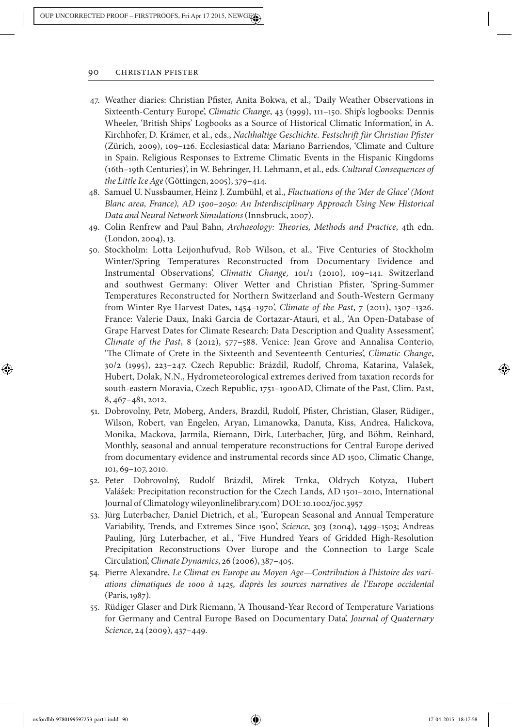- 47. Weather diaries: Christian Pfister, Anita Bokwa, et al., 'Daily Weather Observations in Sixteenth-Century Europe', *Climatic Change*, 43 (1999), 111–150. Ship's logbooks: Dennis Wheeler, 'British Ships' Logbooks as a Source of Historical Climatic Information', in A. Kirchhofer, D. Krämer, et al., eds., *Nachhaltige Geschichte. Festschrift für Christian Pfister* (Zürich, 2009), 109–126. Ecclesiastical data: Mariano Barriendos, 'Climate and Culture in Spain. Religious Responses to Extreme Climatic Events in the Hispanic Kingdoms (16th–19th Centuries)', in W. Behringer, H. Lehmann, et al., eds. *Cultural Consequences of the Little Ice Age* (Göttingen, 2005), 379–414.
- 48. Samuel U. Nussbaumer, Heinz J. Zumbühl, et al., *Fluctuations of the 'Mer de Glace' (Mont Blanc area, France), AD 1500–2050: An Interdisciplinary Approach Using New Historical Data and Neural Network Simulations* (Innsbruck, 2007).
- 49. Colin Renfrew and Paul Bahn, *Archaeology: Theories, Methods and Practice*, 4th edn. (London, 2004), 13.
- 50. Stockholm: Lotta Leijonhufvud, Rob Wilson, et al., 'Five Centuries of Stockholm Winter/Spring Temperatures Reconstructed from Documentary Evidence and Instrumental Observations', *Climatic Change,* 101/1 (2010), 109–141. Switzerland and southwest Germany: Oliver Wetter and Christian Pfister, 'Spring-Summer Temperatures Reconstructed for Northern Switzerland and South-Western Germany from Winter Rye Harvest Dates, 1454–1970', *Climate of the Past*, 7 (2011), 1307–1326. France: Valerie Daux, Inaki Garcia de Cortazar-Atauri, et al., 'An Open-Database of Grape Harvest Dates for Climate Research: Data Description and Quality Assessment', *Climate of the Past*, 8 (2012), 577–588. Venice: Jean Grove and Annalisa Conterio, 'The Climate of Crete in the Sixteenth and Seventeenth Centuries', *Climatic Change*, 30/2 (1995), 223–247. Czech Republic: Brázdil, Rudolf, Chroma, Katarina, Valašek, Hubert, Dolak, N.N., Hydrometeorological extremes derived from taxation records for south-eastern Moravia, Czech Republic, 1751–1900AD, Climate of the Past, Clim. Past, 8, 467–481, 2012.
- 51. Dobrovolny, Petr, Moberg, Anders, Brazdil, Rudolf, Pfister, Christian, Glaser, Rüdiger., Wilson, Robert, van Engelen, Aryan, Limanowka, Danuta, Kiss, Andrea, Halickova, Monika, Mackova, Jarmila, Riemann, Dirk, Luterbacher, Jürg, and Böhm, Reinhard, Monthly, seasonal and annual temperature reconstructions for Central Europe derived from documentary evidence and instrumental records since AD 1500, Climatic Change, 101, 69–107, 2010.
- 52. Peter Dobrovolný, Rudolf Brázdil, Mirek Trnka, Oldrych Kotyza, Hubert Valášek: Precipitation reconstruction for the Czech Lands, AD 1501–2010, International Journal of Climatology wileyonlinelibrary.com) DOI: 10.1002/joc.3957
- 53. Jürg Luterbacher, Daniel Dietrich, et al., 'European Seasonal and Annual Temperature Variability, Trends, and Extremes Since 1500', *Science*, 303 (2004), 1499–1503; Andreas Pauling, Jürg Luterbacher, et al., 'Five Hundred Years of Gridded High-Resolution Precipitation Reconstructions Over Europe and the Connection to Large Scale Circulation', *Climate Dynamics*, 26 (2006), 387–405.
- 54. Pierre Alexandre, *Le Climat en Europe au Moyen Age—Contribution à l'histoire des variations climatiques de 1000 à 1425, d'après les sources narratives de l'Europe occidental* (Paris, 1987).
- 55. Rüdiger Glaser and Dirk Riemann, 'A Thousand-Year Record of Temperature Variations for Germany and Central Europe Based on Documentary Data', *Journal of Quaternary Science*, 24 (2009), 437–449.

⊕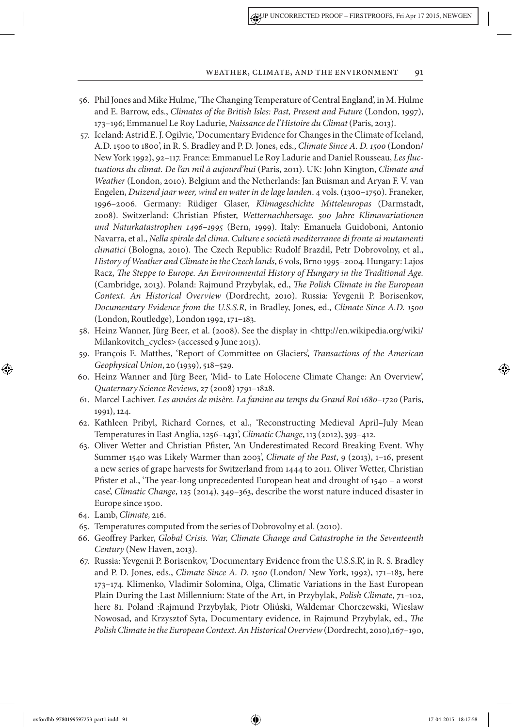- 56. Phil Jones and Mike Hulme, 'The Changing Temperature of Central England', in M. Hulme and E. Barrow, eds., *Climates of the British Isles: Past, Present and Future* (London, 1997), 173–196; Emmanuel Le Roy Ladurie, *Naissance de l'Histoire du Climat* (Paris, 2013).
- 57. Iceland: Astrid E. J. Ogilvie, 'Documentary Evidence for Changes in the Climate of Iceland, A.D. 1500 to 1800', in R. S. Bradley and P. D. Jones, eds., *Climate Since A. D. 1500* (London/ New York 1992), 92–117. France: Emmanuel Le Roy Ladurie and Daniel Rousseau, *Les fluctuations du climat. De l'an mil à aujourd'hui* (Paris, 2011). UK: John Kington, *Climate and Weather* (London, 2010). Belgium and the Netherlands: Jan Buisman and Aryan F. V. van Engelen, *Duizend jaar weer, wind en water in de lage landen*. 4 vols. (1300–1750). Franeker, 1996–2006. Germany: Rüdiger Glaser, *Klimageschichte Mitteleuropas* (Darmstadt, 2008). Switzerland: Christian Pfister, *Wetternachhersage. 500 Jahre Klimavariationen und Naturkatastrophen 1496–1995* (Bern, 1999). Italy: Emanuela Guidoboni, Antonio Navarra, et al., *Nella spirale del clima. Culture e società mediterranee di fronte ai mutamenti climatici* (Bologna, 2010). The Czech Republic: Rudolf Brazdil, Petr Dobrovolny, et al., *History of Weather and Climate in the Czech lands*, 6 vols, Brno 1995–2004. Hungary: Lajos Racz, *The Steppe to Europe. An Environmental History of Hungary in the Traditional Age.* (Cambridge, 2013). Poland: Rajmund Przybylak, ed., *The Polish Climate in the European Context. An Historical Overview* (Dordrecht, 2010). Russia: Yevgenii P. Borisenkov, *Documentary Evidence from the U.S.S.R*, in Bradley, Jones, ed., *Climate Since A.D. 1500* (London, Routledge), London 1992, 171–183.
- 58. Heinz Wanner, Jürg Beer, et al. (2008). See the display in <http://en.wikipedia.org/wiki/ Milankovitch\_cycles> (accessed 9 June 2013).
- 59. François E. Matthes, 'Report of Committee on Glaciers', *Transactions of the American Geophysical Union*, 20 (1939), 518–529.
- 60. Heinz Wanner and Jürg Beer, 'Mid- to Late Holocene Climate Change: An Overview', *Quaternary Science Reviews*, 27 (2008) 1791–1828.
- 61. Marcel Lachiver. *Les années de misère. La famine au temps du Grand Roi 1680–1720* (Paris, 1991), 124.
- 62. Kathleen Pribyl, Richard Cornes, et al., 'Reconstructing Medieval April–July Mean Temperatures in East Anglia, 1256–1431', *Climatic Change*, 113 (2012), 393–412.
- 63. Oliver Wetter and Christian Pfister, 'An Underestimated Record Breaking Event. Why Summer 1540 was Likely Warmer than 2003', *Climate of the Past*, 9 (2013), 1–16, present a new series of grape harvests for Switzerland from 1444 to 2011. Oliver Wetter, Christian Pfister et al., 'The year-long unprecedented European heat and drought of 1540 – a worst case', *Climatic Change*, 125 (2014), 349–363, describe the worst nature induced disaster in Europe since 1500.
- 64. Lamb, *Climate,* 216.
- 65. Temperatures computed from the series of Dobrovolny et al. (2010).
- 66. Geoffrey Parker, *Global Crisis. War, Climate Change and Catastrophe in the Seventeenth Century* (New Haven, 2013).
- 67. Russia: Yevgenii P. Borisenkov, 'Documentary Evidence from the U.S.S.R', in R. S. Bradley and P. D. Jones, eds., *Climate Since A. D. 1500* (London/ New York, 1992), 171–183, here 173–174. Klimenko, Vladimir Solomina, Olga, Climatic Variations in the East European Plain During the Last Millennium: State of the Art, in Przybylak, *Polish Climate*, 71–102, here 81. Poland :Rajmund Przybylak, Piotr Oliúski, Waldemar Chorczewski, Wieslaw Nowosad, and Krzysztof Syta, Documentary evidence, in Rajmund Przybylak, ed., *The Polish Climate in the European Context. An Historical Overview* (Dordrecht, 2010),167–190,

⊕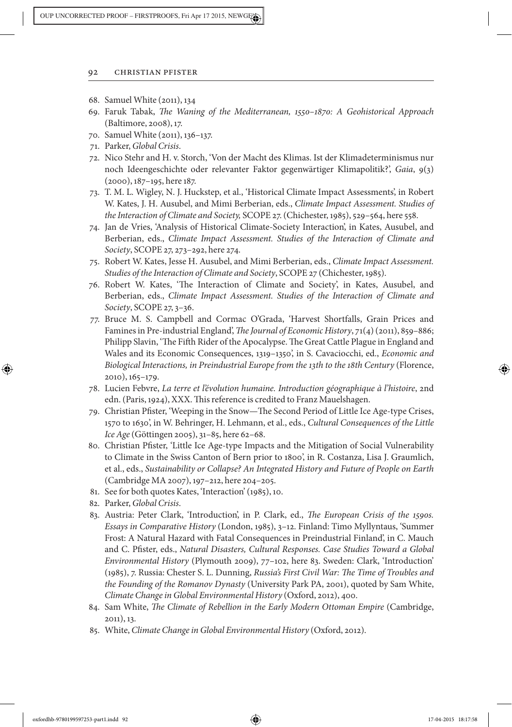- 68. Samuel White (2011), 134
- 69. Faruk Tabak, *The Waning of the Mediterranean, 1550–1870: A Geohistorical Approach* (Baltimore, 2008), 17.
- 70. Samuel White (2011), 136–137.
- 71. Parker, *Global Crisis*.
- 72. Nico Stehr and H. v. Storch, 'Von der Macht des Klimas. Ist der Klimadeterminismus nur noch Ideengeschichte oder relevanter Faktor gegenwärtiger Klimapolitik?', *Gaia*, 9(3) (2000), 187–195, here 187.
- 73. T. M. L. Wigley, N. J. Huckstep, et al., 'Historical Climate Impact Assessments', in Robert W. Kates, J. H. Ausubel, and Mimi Berberian, eds., *Climate Impact Assessment. Studies of the Interaction of Climate and Society,* SCOPE 27. (Chichester, 1985), 529–564, here 558.
- 74. Jan de Vries, 'Analysis of Historical Climate-Society Interaction', in Kates, Ausubel, and Berberian, eds., *Climate Impact Assessment. Studies of the Interaction of Climate and Society*, SCOPE 27, 273–292, here 274.
- 75. Robert W. Kates, Jesse H. Ausubel, and Mimi Berberian, eds., *Climate Impact Assessment. Studies of the Interaction of Climate and Society*, SCOPE 27 (Chichester, 1985).
- 76. Robert W. Kates, 'The Interaction of Climate and Society', in Kates, Ausubel, and Berberian, eds., *Climate Impact Assessment. Studies of the Interaction of Climate and Society*, SCOPE 27, 3–36.
- 77. Bruce M. S. Campbell and Cormac O'Grada, 'Harvest Shortfalls, Grain Prices and Famines in Pre-industrial England', *The Journal of Economic History*, 71(4) (2011), 859–886; Philipp Slavin, 'The Fifth Rider of the Apocalypse. The Great Cattle Plague in England and Wales and its Economic Consequences, 1319–1350', in S. Cavaciocchi, ed., *Economic and Biological Interactions, in Preindustrial Europe from the 13th to the 18th Century* (Florence, 2010), 165–179.
- 78. Lucien Febvre, *La terre et l'évolution humaine. Introduction géographique à l'histoire*, 2nd edn. (Paris, 1924), XXX. This reference is credited to Franz Mauelshagen.
- 79. Christian Pfister, 'Weeping in the Snow—The Second Period of Little Ice Age-type Crises, 1570 to 1630', in W. Behringer, H. Lehmann, et al., eds., *Cultural Consequences of the Little Ice Age* (Göttingen 2005), 31–85, here 62–68.
- 80. Christian Pfister, 'Little Ice Age-type Impacts and the Mitigation of Social Vulnerability to Climate in the Swiss Canton of Bern prior to 1800', in R. Costanza, Lisa J. Graumlich, et al., eds., *Sustainability or Collapse? An Integrated History and Future of People on Earth* (Cambridge MA 2007), 197–212, here 204–205.
- 81. See for both quotes Kates, 'Interaction' (1985), 10.
- 82. Parker, *Global Crisis*.
- 83. Austria: Peter Clark, 'Introduction', in P. Clark, ed., *The European Crisis of the 1590s. Essays in Comparative History* (London, 1985), 3–12. Finland: Timo Myllyntaus, 'Summer Frost: A Natural Hazard with Fatal Consequences in Preindustrial Finland', in C. Mauch and C. Pfister, eds., *Natural Disasters, Cultural Responses. Case Studies Toward a Global Environmental History* (Plymouth 2009), 77–102, here 83. Sweden: Clark, 'Introduction' (1985), 7. Russia: Chester S. L. Dunning, *Russia's First Civil War: The Time of Troubles and the Founding of the Romanov Dynasty* (University Park PA, 2001), quoted by Sam White, *Climate Change in Global Environmental History* (Oxford, 2012), 400.
- 84. Sam White, *The Climate of Rebellion in the Early Modern Ottoman Empire* (Cambridge, 2011), 13.
- 85. White, *Climate Change in Global Environmental History* (Oxford, 2012).

⊕